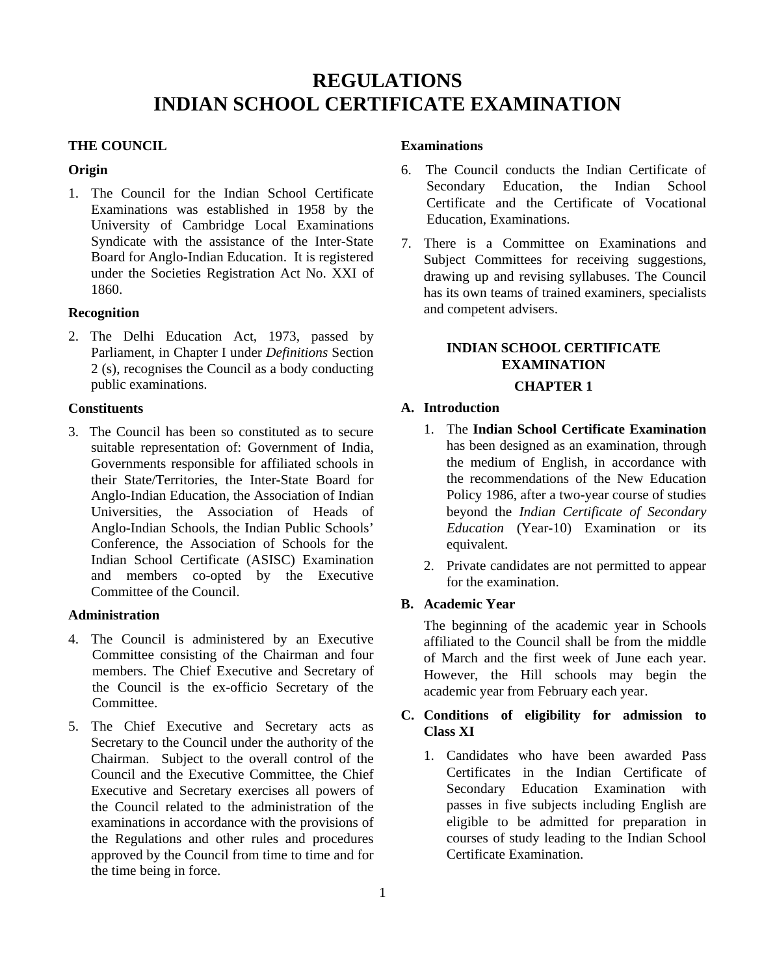# **REGULATIONS INDIAN SCHOOL CERTIFICATE EXAMINATION**

# **THE COUNCIL**

## **Origin**

1. The Council for the Indian School Certificate Examinations was established in 1958 by the University of Cambridge Local Examinations Syndicate with the assistance of the Inter-State Board for Anglo-Indian Education. It is registered under the Societies Registration Act No. XXI of 1860.

# **Recognition**

2. The Delhi Education Act, 1973, passed by Parliament, in Chapter I under *Definitions* Section 2 (s), recognises the Council as a body conducting public examinations.

#### **Constituents**

3. The Council has been so constituted as to secure suitable representation of: Government of India, Governments responsible for affiliated schools in their State/Territories, the Inter-State Board for Anglo-Indian Education, the Association of Indian Universities, the Association of Heads of Anglo-Indian Schools, the Indian Public Schools' Conference, the Association of Schools for the Indian School Certificate (ASISC) Examination and members co-opted by the Executive Committee of the Council.

## **Administration**

- 4. The Council is administered by an Executive Committee consisting of the Chairman and four members. The Chief Executive and Secretary of the Council is the ex-officio Secretary of the **Committee**
- 5. The Chief Executive and Secretary acts as Secretary to the Council under the authority of the Chairman. Subject to the overall control of the Council and the Executive Committee, the Chief Executive and Secretary exercises all powers of the Council related to the administration of the examinations in accordance with the provisions of the Regulations and other rules and procedures approved by the Council from time to time and for the time being in force.

## **Examinations**

- 6. The Council conducts the Indian Certificate of Secondary Education, the Indian School Certificate and the Certificate of Vocational Education, Examinations.
- 7. There is a Committee on Examinations and Subject Committees for receiving suggestions, drawing up and revising syllabuses. The Council has its own teams of trained examiners, specialists and competent advisers.

# **INDIAN SCHOOL CERTIFICATE EXAMINATION**

# **CHAPTER 1**

## **A. Introduction**

- 1. The **Indian School Certificate Examination** has been designed as an examination, through the medium of English, in accordance with the recommendations of the New Education Policy 1986, after a two-year course of studies beyond the *Indian Certificate of Secondary Education* (Year-10) Examination or its equivalent.
- 2. Private candidates are not permitted to appear for the examination.

# **B. Academic Year**

The beginning of the academic year in Schools affiliated to the Council shall be from the middle of March and the first week of June each year. However, the Hill schools may begin the academic year from February each year.

# **C. Conditions of eligibility for admission to Class XI**

1. Candidates who have been awarded Pass Certificates in the Indian Certificate of Secondary Education Examination with passes in five subjects including English are eligible to be admitted for preparation in courses of study leading to the Indian School Certificate Examination.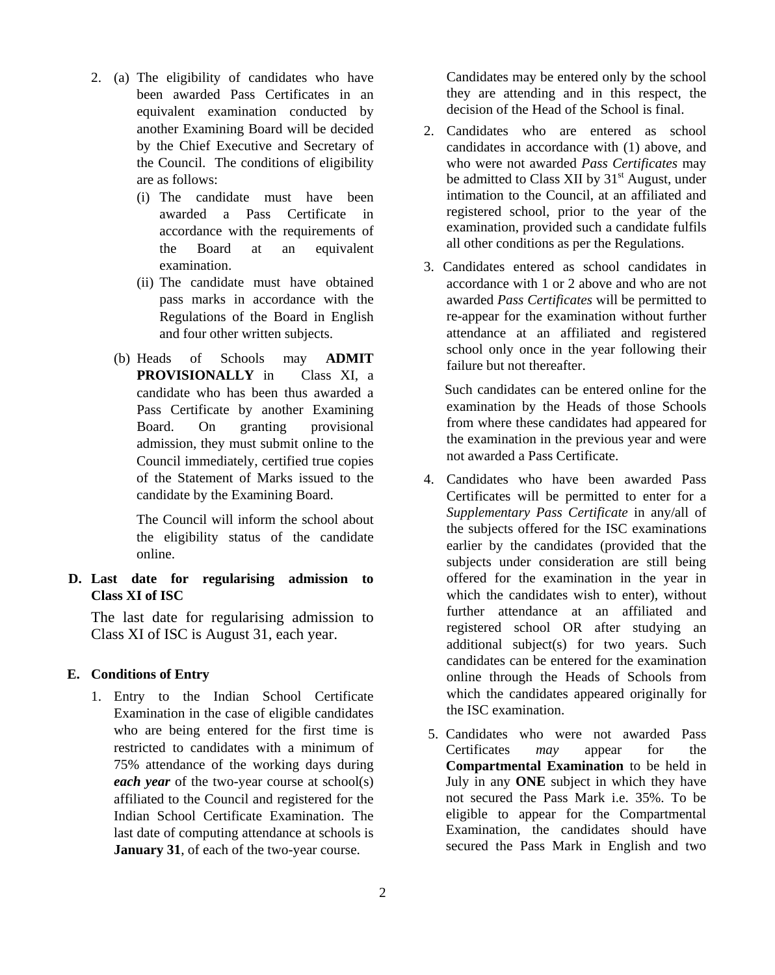- 2. (a) The eligibility of candidates who have been awarded Pass Certificates in an equivalent examination conducted by another Examining Board will be decided by the Chief Executive and Secretary of the Council. The conditions of eligibility are as follows:
	- (i) The candidate must have been awarded a Pass Certificate in accordance with the requirements of the Board at an equivalent examination.
	- (ii) The candidate must have obtained pass marks in accordance with the Regulations of the Board in English and four other written subjects.
	- (b) Heads of Schools may **ADMIT PROVISIONALLY** in Class XI, a candidate who has been thus awarded a Pass Certificate by another Examining Board. On granting provisional admission, they must submit online to the Council immediately, certified true copies of the Statement of Marks issued to the candidate by the Examining Board.

The Council will inform the school about the eligibility status of the candidate online.

**D. Last date for regularising admission to Class XI of ISC**

The last date for regularising admission to Class XI of ISC is August 31, each year.

## **E. Conditions of Entry**

1. Entry to the Indian School Certificate Examination in the case of eligible candidates who are being entered for the first time is restricted to candidates with a minimum of 75% attendance of the working days during *each year* of the two-year course at school(s) affiliated to the Council and registered for the Indian School Certificate Examination. The last date of computing attendance at schools is **January 31**, of each of the two-year course.

Candidates may be entered only by the school they are attending and in this respect, the decision of the Head of the School is final.

- 2. Candidates who are entered as school candidates in accordance with (1) above, and who were not awarded *Pass Certificates* may be admitted to Class XII by  $31<sup>st</sup>$  August, under intimation to the Council, at an affiliated and registered school, prior to the year of the examination, provided such a candidate fulfils all other conditions as per the Regulations.
- 3. Candidates entered as school candidates in accordance with 1 or 2 above and who are not awarded *Pass Certificates* will be permitted to re-appear for the examination without further attendance at an affiliated and registered school only once in the year following their failure but not thereafter.

 Such candidates can be entered online for the examination by the Heads of those Schools from where these candidates had appeared for the examination in the previous year and were not awarded a Pass Certificate.

- 4. Candidates who have been awarded Pass Certificates will be permitted to enter for a *Supplementary Pass Certificate* in any/all of the subjects offered for the ISC examinations earlier by the candidates (provided that the subjects under consideration are still being offered for the examination in the year in which the candidates wish to enter), without further attendance at an affiliated and registered school OR after studying an additional subject(s) for two years. Such candidates can be entered for the examination online through the Heads of Schools from which the candidates appeared originally for the ISC examination.
- 5. Candidates who were not awarded Pass Certificates *may* appear for the **Compartmental Examination** to be held in July in any **ONE** subject in which they have not secured the Pass Mark i.e. 35%. To be eligible to appear for the Compartmental Examination, the candidates should have secured the Pass Mark in English and two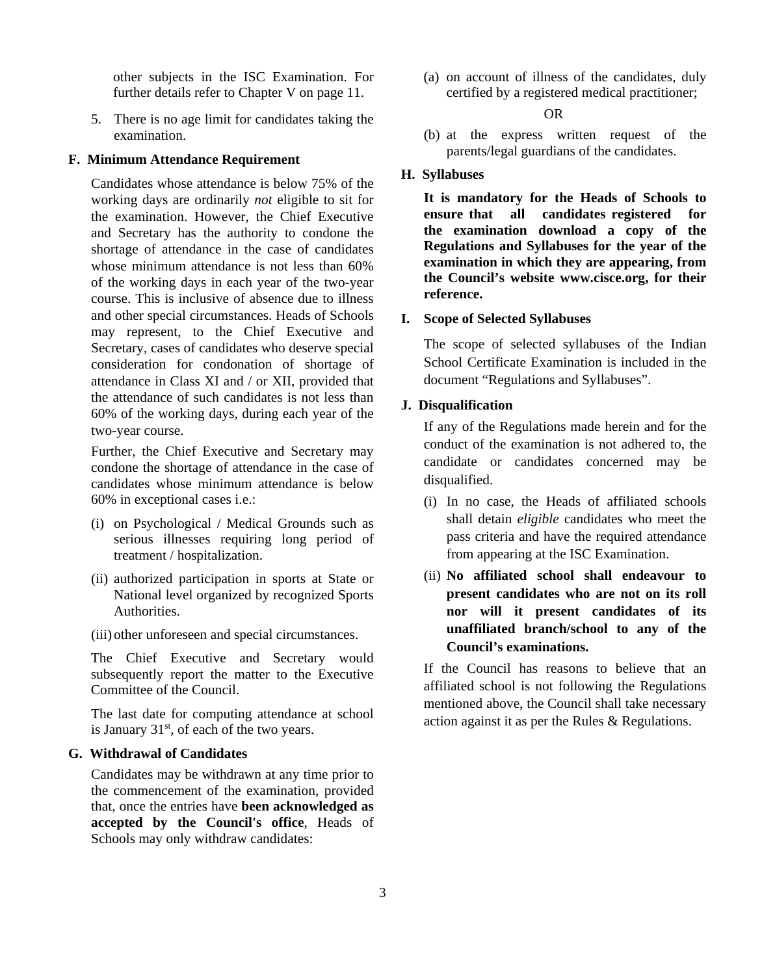other subjects in the ISC Examination. For further details refer to Chapter V on page 11.

5. There is no age limit for candidates taking the examination.

## **F. Minimum Attendance Requirement**

Candidates whose attendance is below 75% of the working days are ordinarily *not* eligible to sit for the examination. However, the Chief Executive and Secretary has the authority to condone the shortage of attendance in the case of candidates whose minimum attendance is not less than 60% of the working days in each year of the two-year course. This is inclusive of absence due to illness and other special circumstances. Heads of Schools may represent, to the Chief Executive and Secretary, cases of candidates who deserve special consideration for condonation of shortage of attendance in Class XI and / or XII, provided that the attendance of such candidates is not less than 60% of the working days, during each year of the two-year course.

Further, the Chief Executive and Secretary may condone the shortage of attendance in the case of candidates whose minimum attendance is below 60% in exceptional cases i.e.:

- (i) on Psychological / Medical Grounds such as serious illnesses requiring long period of treatment / hospitalization.
- (ii) authorized participation in sports at State or National level organized by recognized Sports Authorities.
- (iii) other unforeseen and special circumstances.

The Chief Executive and Secretary would subsequently report the matter to the Executive Committee of the Council.

The last date for computing attendance at school is January  $31<sup>st</sup>$ , of each of the two years.

## **G. Withdrawal of Candidates**

Candidates may be withdrawn at any time prior to the commencement of the examination, provided that, once the entries have **been acknowledged as accepted by the Council's office**, Heads of Schools may only withdraw candidates:

(a) on account of illness of the candidates, duly certified by a registered medical practitioner;

#### OR

(b) at the express written request of the parents/legal guardians of the candidates.

## **H. Syllabuses**

**It is mandatory for the Heads of Schools to ensure that all candidates registered for the examination download a copy of the Regulations and Syllabuses for the year of the examination in which they are appearing, from the Council's website www.cisce.org, for their reference.**

#### **I. Scope of Selected Syllabuses**

The scope of selected syllabuses of the Indian School Certificate Examination is included in the document "Regulations and Syllabuses".

## **J. Disqualification**

If any of the Regulations made herein and for the conduct of the examination is not adhered to, the candidate or candidates concerned may be disqualified.

- (i) In no case, the Heads of affiliated schools shall detain *eligible* candidates who meet the pass criteria and have the required attendance from appearing at the ISC Examination.
- (ii) **No affiliated school shall endeavour to present candidates who are not on its roll nor will it present candidates of its unaffiliated branch/school to any of the Council's examinations.**

If the Council has reasons to believe that an affiliated school is not following the Regulations mentioned above, the Council shall take necessary action against it as per the Rules & Regulations.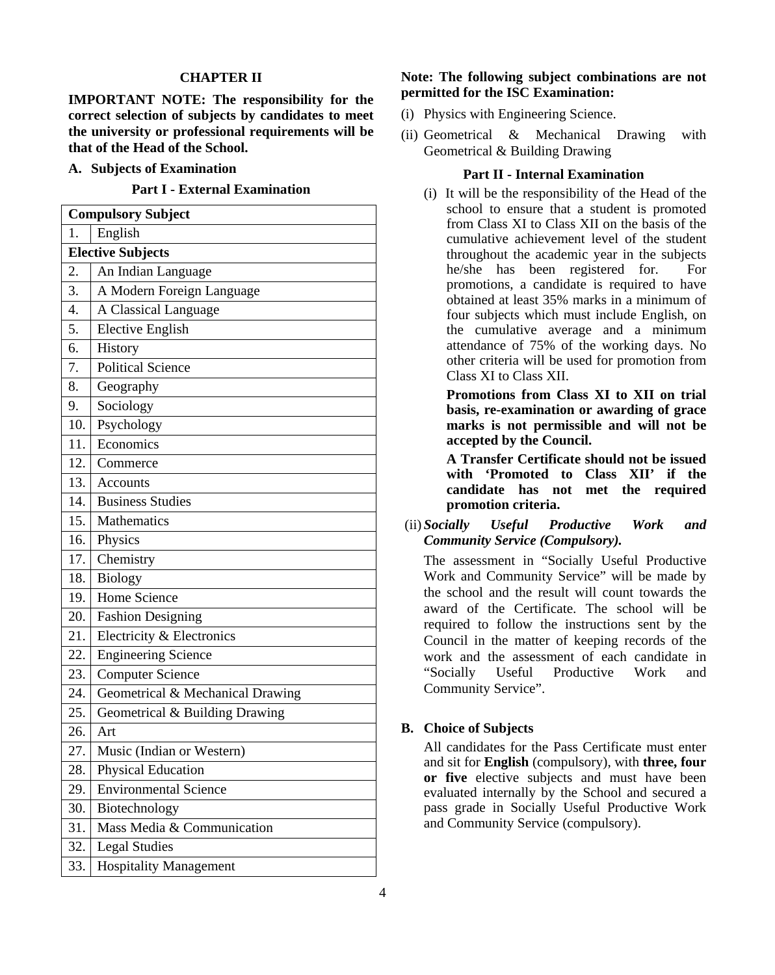### **CHAPTER II**

**IMPORTANT NOTE: The responsibility for the correct selection of subjects by candidates to meet the university or professional requirements will be that of the Head of the School.**

#### **A. Subjects of Examination**

**Part I - External Examination**

| <b>Compulsory Subject</b> |                                  |
|---------------------------|----------------------------------|
| 1.                        | English                          |
| <b>Elective Subjects</b>  |                                  |
| 2.                        | An Indian Language               |
| 3.                        | A Modern Foreign Language        |
| 4.                        | A Classical Language             |
| 5.                        | <b>Elective English</b>          |
| 6.                        | History                          |
| 7.                        | <b>Political Science</b>         |
| 8.                        | Geography                        |
| 9.                        | Sociology                        |
| 10.                       | Psychology                       |
| 11.                       | Economics                        |
| 12.                       | Commerce                         |
| 13.                       | Accounts                         |
| 14.                       | <b>Business Studies</b>          |
| 15.                       | Mathematics                      |
| 16.1                      | Physics                          |
| 17.                       | Chemistry                        |
| 18.                       | <b>Biology</b>                   |
| 19.                       | Home Science                     |
| 20.                       | <b>Fashion Designing</b>         |
| 21.                       | Electricity & Electronics        |
| 22.                       | <b>Engineering Science</b>       |
| 23.                       | <b>Computer Science</b>          |
| 24.                       | Geometrical & Mechanical Drawing |
| 25.                       | Geometrical & Building Drawing   |
| 26.                       | Art                              |
| 27.                       | Music (Indian or Western)        |
| 28.                       | <b>Physical Education</b>        |
| 29.                       | <b>Environmental Science</b>     |
| 30.                       | Biotechnology                    |
| 31.                       | Mass Media & Communication       |
| 32.                       | <b>Legal Studies</b>             |
| 33.                       | <b>Hospitality Management</b>    |

## **Note: The following subject combinations are not permitted for the ISC Examination:**

- (i) Physics with Engineering Science.
- (ii) Geometrical & Mechanical Drawing with Geometrical & Building Drawing

#### **Part II - Internal Examination**

(i) It will be the responsibility of the Head of the school to ensure that a student is promoted from Class XI to Class XII on the basis of the cumulative achievement level of the student throughout the academic year in the subjects he/she has been registered for. For promotions, a candidate is required to have obtained at least 35% marks in a minimum of four subjects which must include English, on the cumulative average and a minimum attendance of 75% of the working days. No other criteria will be used for promotion from Class XI to Class XII.

**Promotions from Class XI to XII on trial basis, re-examination or awarding of grace marks is not permissible and will not be accepted by the Council.** 

**A Transfer Certificate should not be issued with 'Promoted to Class XII' if the candidate has not met the required promotion criteria.** 

(ii) *Socially Useful Productive Work and Community Service (Compulsory).*

The assessment in "Socially Useful Productive Work and Community Service" will be made by the school and the result will count towards the award of the Certificate. The school will be required to follow the instructions sent by the Council in the matter of keeping records of the work and the assessment of each candidate in "Socially Useful Productive Work and Community Service".

#### **B. Choice of Subjects**

All candidates for the Pass Certificate must enter and sit for **English** (compulsory), with **three, four or five** elective subjects and must have been evaluated internally by the School and secured a pass grade in Socially Useful Productive Work and Community Service (compulsory).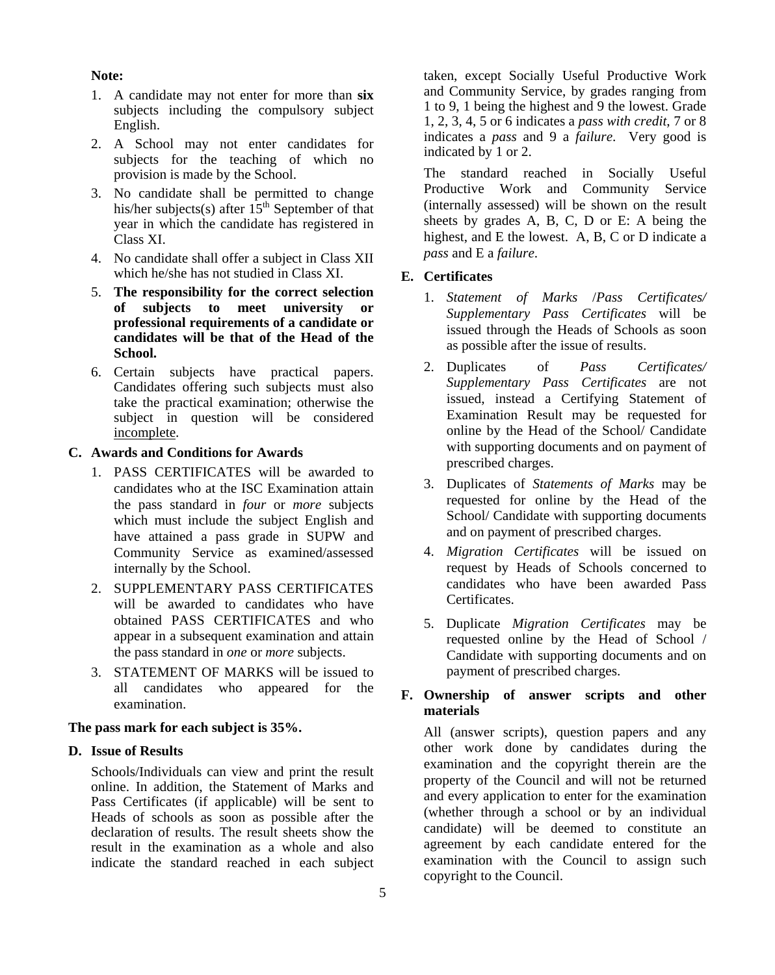#### **Note:**

- 1. A candidate may not enter for more than **six** subjects including the compulsory subject English.
- 2. A School may not enter candidates for subjects for the teaching of which no provision is made by the School.
- 3. No candidate shall be permitted to change his/her subjects(s) after  $15<sup>th</sup>$  September of that year in which the candidate has registered in Class XI.
- 4. No candidate shall offer a subject in Class XII which he/she has not studied in Class XI.
- 5. **The responsibility for the correct selection**  of subjects to meet university **professional requirements of a candidate or candidates will be that of the Head of the School.**
- 6. Certain subjects have practical papers. Candidates offering such subjects must also take the practical examination; otherwise the subject in question will be considered incomplete.

# **C. Awards and Conditions for Awards**

- 1. PASS CERTIFICATES will be awarded to candidates who at the ISC Examination attain the pass standard in *four* or *more* subjects which must include the subject English and have attained a pass grade in SUPW and Community Service as examined/assessed internally by the School.
- 2. SUPPLEMENTARY PASS CERTIFICATES will be awarded to candidates who have obtained PASS CERTIFICATES and who appear in a subsequent examination and attain the pass standard in *one* or *more* subjects.
- 3. STATEMENT OF MARKS will be issued to all candidates who appeared for the examination.

#### **The pass mark for each subject is 35%.**

#### **D. Issue of Results**

Schools/Individuals can view and print the result online. In addition, the Statement of Marks and Pass Certificates (if applicable) will be sent to Heads of schools as soon as possible after the declaration of results. The result sheets show the result in the examination as a whole and also indicate the standard reached in each subject taken, except Socially Useful Productive Work and Community Service, by grades ranging from 1 to 9, 1 being the highest and 9 the lowest. Grade 1, 2, 3, 4, 5 or 6 indicates a *pass with credit*, 7 or 8 indicates a *pass* and 9 a *failure*. Very good is indicated by 1 or 2.

The standard reached in Socially Useful Productive Work and Community Service (internally assessed) will be shown on the result sheets by grades A, B, C, D or E: A being the highest, and E the lowest. A, B, C or D indicate a *pass* and E a *failure*.

#### **E. Certificates**

- 1. *Statement of Marks* /*Pass Certificates/ Supplementary Pass Certificates* will be issued through the Heads of Schools as soon as possible after the issue of results.
- 2. Duplicates of *Pass Certificates/ Supplementary Pass Certificates* are not issued, instead a Certifying Statement of Examination Result may be requested for online by the Head of the School/ Candidate with supporting documents and on payment of prescribed charges.
- 3. Duplicates of *Statements of Marks* may be requested for online by the Head of the School/ Candidate with supporting documents and on payment of prescribed charges.
- 4. *Migration Certificates* will be issued on request by Heads of Schools concerned to candidates who have been awarded Pass **Certificates**
- 5. Duplicate *Migration Certificates* may be requested online by the Head of School / Candidate with supporting documents and on payment of prescribed charges.

# **F. Ownership of answer scripts and other materials**

All (answer scripts), question papers and any other work done by candidates during the examination and the copyright therein are the property of the Council and will not be returned and every application to enter for the examination (whether through a school or by an individual candidate) will be deemed to constitute an agreement by each candidate entered for the examination with the Council to assign such copyright to the Council.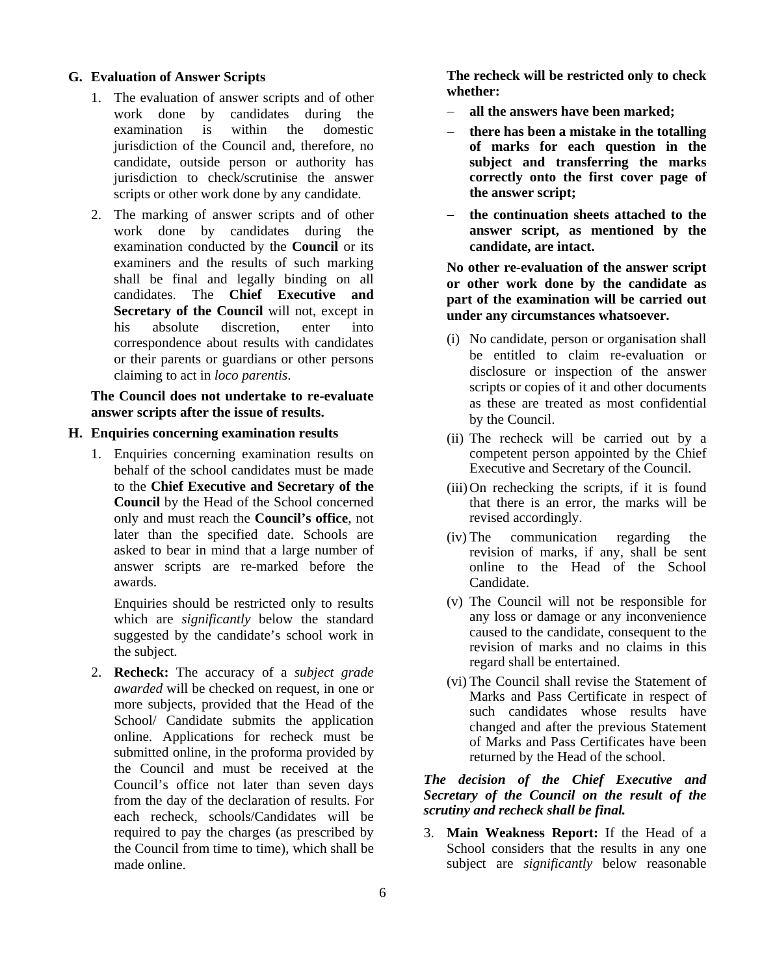### **G. Evaluation of Answer Scripts**

- 1. The evaluation of answer scripts and of other<br>work done by candidates during the candidates during the examination is within the domestic jurisdiction of the Council and, therefore, no candidate, outside person or authority has jurisdiction to check/scrutinise the answer scripts or other work done by any candidate.
- 2. The marking of answer scripts and of other work done by candidates during the examination conducted by the **Council** or its examiners and the results of such marking shall be final and legally binding on all candidates. The **Chief Executive and Secretary of the Council** will not, except in his absolute discretion, enter into correspondence about results with candidates or their parents or guardians or other persons claiming to act in *loco parentis*.

## **The Council does not undertake to re-evaluate answer scripts after the issue of results.**

## **H. Enquiries concerning examination results**

1. Enquiries concerning examination results on behalf of the school candidates must be made to the **Chief Executive and Secretary of the Council** by the Head of the School concerned only and must reach the **Council's office**, not later than the specified date. Schools are asked to bear in mind that a large number of answer scripts are re-marked before the awards.

Enquiries should be restricted only to results which are *significantly* below the standard suggested by the candidate's school work in the subject.

2. **Recheck:** The accuracy of a *subject grade awarded* will be checked on request, in one or more subjects, provided that the Head of the School/ Candidate submits the application online. Applications for recheck must be submitted online, in the proforma provided by the Council and must be received at the Council's office not later than seven days from the day of the declaration of results. For each recheck, schools/Candidates will be required to pay the charges (as prescribed by the Council from time to time), which shall be made online.

**The recheck will be restricted only to check whether:** 

- − **all the answers have been marked;**
- − **there has been a mistake in the totalling of marks for each question in the subject and transferring the marks correctly onto the first cover page of the answer script;**
- − **the continuation sheets attached to the answer script, as mentioned by the candidate, are intact.**

**No other re-evaluation of the answer script or other work done by the candidate as part of the examination will be carried out under any circumstances whatsoever.**

- (i) No candidate, person or organisation shall be entitled to claim re-evaluation or disclosure or inspection of the answer scripts or copies of it and other documents as these are treated as most confidential by the Council.
- (ii) The recheck will be carried out by a competent person appointed by the Chief Executive and Secretary of the Council.
- (iii)On rechecking the scripts, if it is found that there is an error, the marks will be revised accordingly.
- (iv) The communication regarding the revision of marks, if any, shall be sent online to the Head of the School Candidate.
- (v) The Council will not be responsible for any loss or damage or any inconvenience caused to the candidate, consequent to the revision of marks and no claims in this regard shall be entertained.
- (vi) The Council shall revise the Statement of Marks and Pass Certificate in respect of such candidates whose results have changed and after the previous Statement of Marks and Pass Certificates have been returned by the Head of the school.

# *The decision of the Chief Executive and Secretary of the Council on the result of the scrutiny and recheck shall be final.*

3. **Main Weakness Report:** If the Head of a School considers that the results in any one subject are *significantly* below reasonable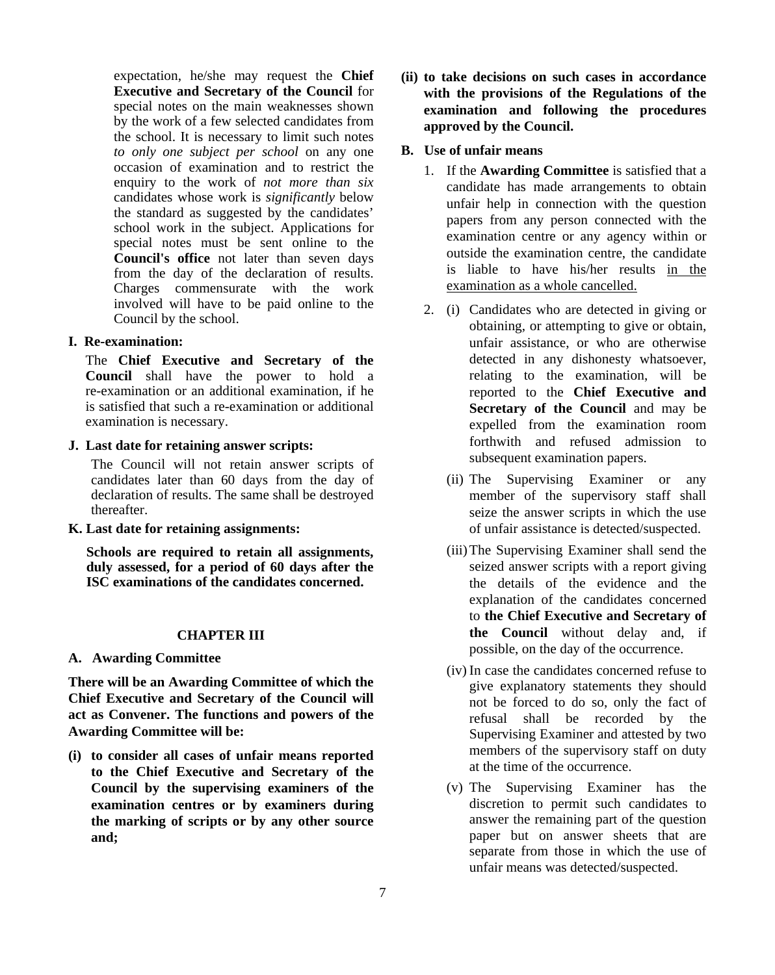expectation, he/she may request the **Chief Executive and Secretary of the Council** for special notes on the main weaknesses shown by the work of a few selected candidates from the school. It is necessary to limit such notes *to only one subject per school* on any one occasion of examination and to restrict the enquiry to the work of *not more than six* candidates whose work is *significantly* below the standard as suggested by the candidates' school work in the subject. Applications for special notes must be sent online to the **Council's office** not later than seven days from the day of the declaration of results. Charges commensurate with the work involved will have to be paid online to the Council by the school.

## **I. Re-examination:**

The **Chief Executive and Secretary of the Council** shall have the power to hold a re-examination or an additional examination, if he is satisfied that such a re-examination or additional examination is necessary.

**J. Last date for retaining answer scripts:**

The Council will not retain answer scripts of candidates later than 60 days from the day of declaration of results. The same shall be destroyed thereafter.

**K. Last date for retaining assignments:**

**Schools are required to retain all assignments, duly assessed, for a period of 60 days after the ISC examinations of the candidates concerned.** 

## **CHAPTER III**

**A. Awarding Committee**

**There will be an Awarding Committee of which the Chief Executive and Secretary of the Council will act as Convener. The functions and powers of the Awarding Committee will be:**

**(i) to consider all cases of unfair means reported to the Chief Executive and Secretary of the Council by the supervising examiners of the examination centres or by examiners during the marking of scripts or by any other source and;**

- **(ii) to take decisions on such cases in accordance with the provisions of the Regulations of the examination and following the procedures approved by the Council.**
- **B. Use of unfair means**
	- 1. If the **Awarding Committee** is satisfied that a candidate has made arrangements to obtain unfair help in connection with the question papers from any person connected with the examination centre or any agency within or outside the examination centre, the candidate is liable to have his/her results in the examination as a whole cancelled.
	- 2. (i) Candidates who are detected in giving or obtaining, or attempting to give or obtain, unfair assistance, or who are otherwise detected in any dishonesty whatsoever, relating to the examination, will be reported to the **Chief Executive and Secretary of the Council** and may be expelled from the examination room forthwith and refused admission to subsequent examination papers.
		- (ii) The Supervising Examiner or any member of the supervisory staff shall seize the answer scripts in which the use of unfair assistance is detected/suspected.
		- (iii)The Supervising Examiner shall send the seized answer scripts with a report giving the details of the evidence and the explanation of the candidates concerned to **the Chief Executive and Secretary of the Council** without delay and, if possible, on the day of the occurrence.
		- (iv) In case the candidates concerned refuse to give explanatory statements they should not be forced to do so, only the fact of refusal shall be recorded by the Supervising Examiner and attested by two members of the supervisory staff on duty at the time of the occurrence.
		- (v) The Supervising Examiner has the discretion to permit such candidates to answer the remaining part of the question paper but on answer sheets that are separate from those in which the use of unfair means was detected/suspected.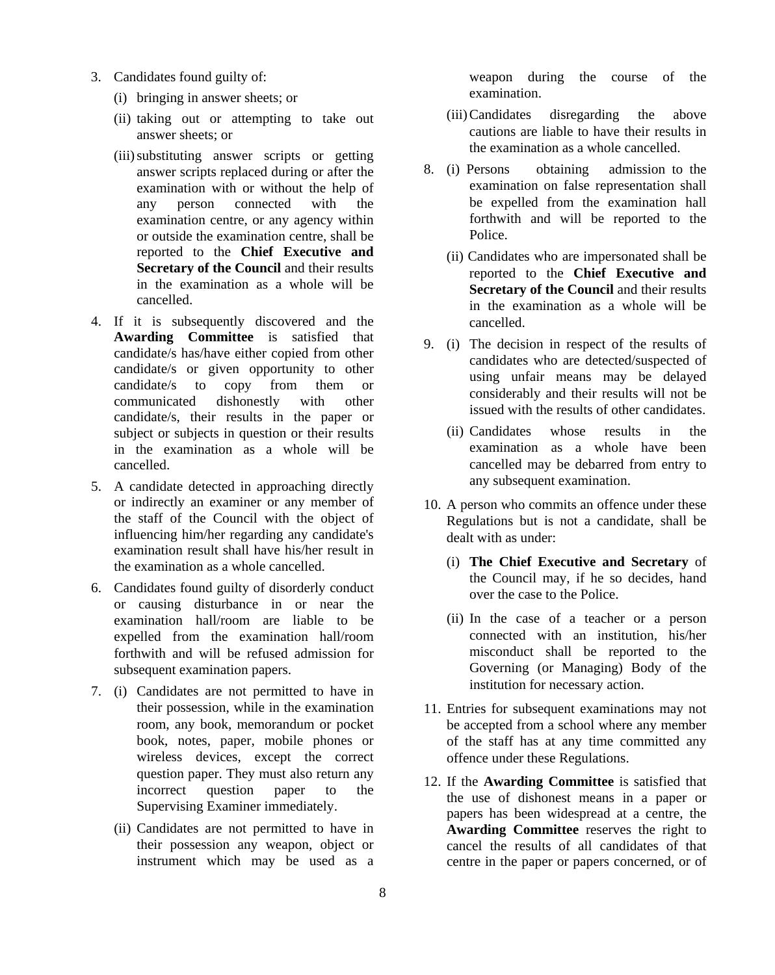- 3. Candidates found guilty of:
	- (i) bringing in answer sheets; or
	- (ii) taking out or attempting to take out answer sheets; or
	- (iii)substituting answer scripts or getting answer scripts replaced during or after the examination with or without the help of any person connected with the examination centre, or any agency within or outside the examination centre, shall be reported to the **Chief Executive and Secretary of the Council** and their results in the examination as a whole will be cancelled.
- 4. If it is subsequently discovered and the **Awarding Committee** is satisfied that candidate/s has/have either copied from other candidate/s or given opportunity to other candidate/s to copy from them or communicated dishonestly with other candidate/s, their results in the paper or subject or subjects in question or their results in the examination as a whole will be cancelled.
- 5. A candidate detected in approaching directly or indirectly an examiner or any member of the staff of the Council with the object of influencing him/her regarding any candidate's examination result shall have his/her result in the examination as a whole cancelled.
- 6. Candidates found guilty of disorderly conduct or causing disturbance in or near the examination hall/room are liable to be expelled from the examination hall/room forthwith and will be refused admission for subsequent examination papers.
- 7. (i) Candidates are not permitted to have in their possession, while in the examination room, any book, memorandum or pocket book, notes, paper, mobile phones or wireless devices, except the correct question paper. They must also return any incorrect question paper to the Supervising Examiner immediately.
	- (ii) Candidates are not permitted to have in their possession any weapon, object or instrument which may be used as a

weapon during the course of the examination.

- (iii)Candidates disregarding the above cautions are liable to have their results in the examination as a whole cancelled.
- 8. (i) Persons obtaining admission to the examination on false representation shall be expelled from the examination hall forthwith and will be reported to the Police.
	- (ii) Candidates who are impersonated shall be reported to the **Chief Executive and Secretary of the Council** and their results in the examination as a whole will be cancelled.
- 9. (i) The decision in respect of the results of candidates who are detected/suspected of using unfair means may be delayed considerably and their results will not be issued with the results of other candidates.
	- (ii) Candidates whose results in the examination as a whole have been cancelled may be debarred from entry to any subsequent examination.
- 10. A person who commits an offence under these Regulations but is not a candidate, shall be dealt with as under:
	- (i) **The Chief Executive and Secretary** of the Council may, if he so decides, hand over the case to the Police.
	- (ii) In the case of a teacher or a person connected with an institution, his/her misconduct shall be reported to the Governing (or Managing) Body of the institution for necessary action.
- 11. Entries for subsequent examinations may not be accepted from a school where any member of the staff has at any time committed any offence under these Regulations.
- 12. If the **Awarding Committee** is satisfied that the use of dishonest means in a paper or papers has been widespread at a centre, the **Awarding Committee** reserves the right to cancel the results of all candidates of that centre in the paper or papers concerned, or of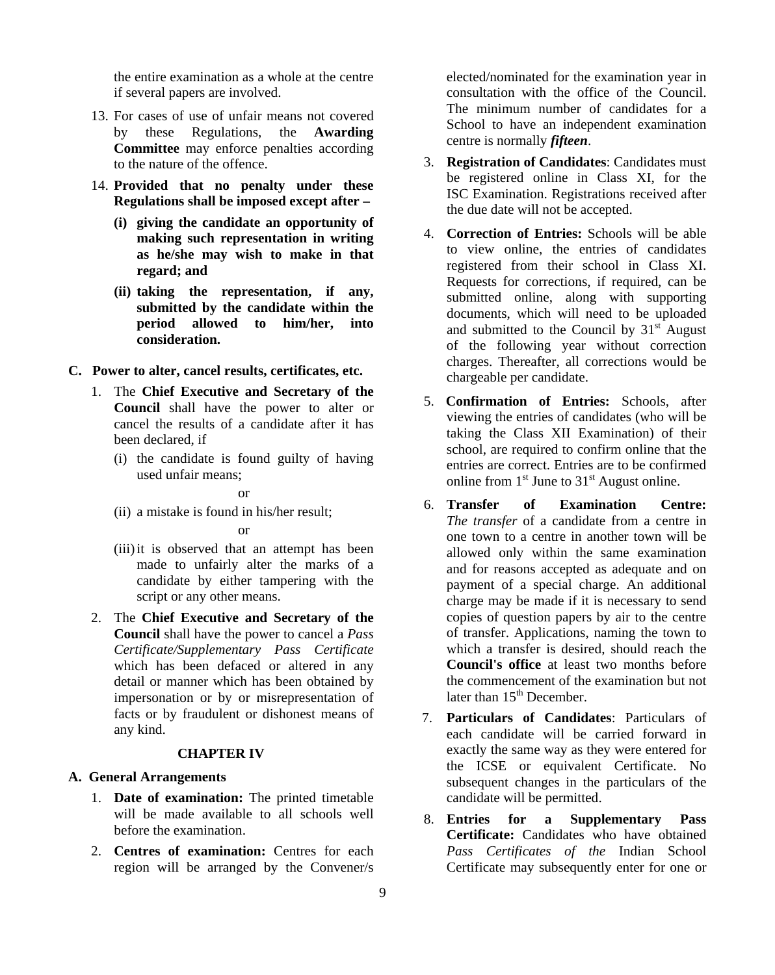the entire examination as a whole at the centre if several papers are involved.

- 13. For cases of use of unfair means not covered by these Regulations, the **Awarding Committee** may enforce penalties according to the nature of the offence.
- 14. **Provided that no penalty under these Regulations shall be imposed except after –**
	- **(i) giving the candidate an opportunity of making such representation in writing as he/she may wish to make in that regard; and**
	- **(ii) taking the representation, if any, submitted by the candidate within the period allowed to him/her, into consideration.**

## **C. Power to alter, cancel results, certificates, etc.**

- 1. The **Chief Executive and Secretary of the Council** shall have the power to alter or cancel the results of a candidate after it has been declared, if
	- (i) the candidate is found guilty of having used unfair means;

## or

(ii) a mistake is found in his/her result;

### or

- (iii)it is observed that an attempt has been made to unfairly alter the marks of a candidate by either tampering with the script or any other means.
- 2. The **Chief Executive and Secretary of the Council** shall have the power to cancel a *Pass Certificate/Supplementary Pass Certificate* which has been defaced or altered in any detail or manner which has been obtained by impersonation or by or misrepresentation of facts or by fraudulent or dishonest means of any kind.

#### **CHAPTER IV**

## **A. General Arrangements**

- 1. **Date of examination:** The printed timetable will be made available to all schools well before the examination.
- 2. **Centres of examination:** Centres for each region will be arranged by the Convener/s

elected/nominated for the examination year in consultation with the office of the Council. The minimum number of candidates for a School to have an independent examination centre is normally *fifteen*.

- 3. **Registration of Candidates**: Candidates must be registered online in Class XI, for the ISC Examination. Registrations received after the due date will not be accepted.
- 4. **Correction of Entries:** Schools will be able to view online, the entries of candidates registered from their school in Class XI. Requests for corrections, if required, can be submitted online, along with supporting documents, which will need to be uploaded and submitted to the Council by  $31<sup>st</sup>$  August of the following year without correction charges. Thereafter, all corrections would be chargeable per candidate.
- 5. **Confirmation of Entries:** Schools, after viewing the entries of candidates (who will be taking the Class XII Examination) of their school, are required to confirm online that the entries are correct. Entries are to be confirmed online from  $1<sup>st</sup>$  June to  $31<sup>st</sup>$  August online.
- 6. **Transfer of Examination Centre:** *The transfer* of a candidate from a centre in one town to a centre in another town will be allowed only within the same examination and for reasons accepted as adequate and on payment of a special charge. An additional charge may be made if it is necessary to send copies of question papers by air to the centre of transfer. Applications, naming the town to which a transfer is desired, should reach the **Council's office** at least two months before the commencement of the examination but not later than  $15<sup>th</sup>$  December.
- 7. **Particulars of Candidates**: Particulars of each candidate will be carried forward in exactly the same way as they were entered for the ICSE or equivalent Certificate. No subsequent changes in the particulars of the candidate will be permitted.
- 8. **Entries for a Supplementary Pass Certificate:** Candidates who have obtained *Pass Certificates of the* Indian School Certificate may subsequently enter for one or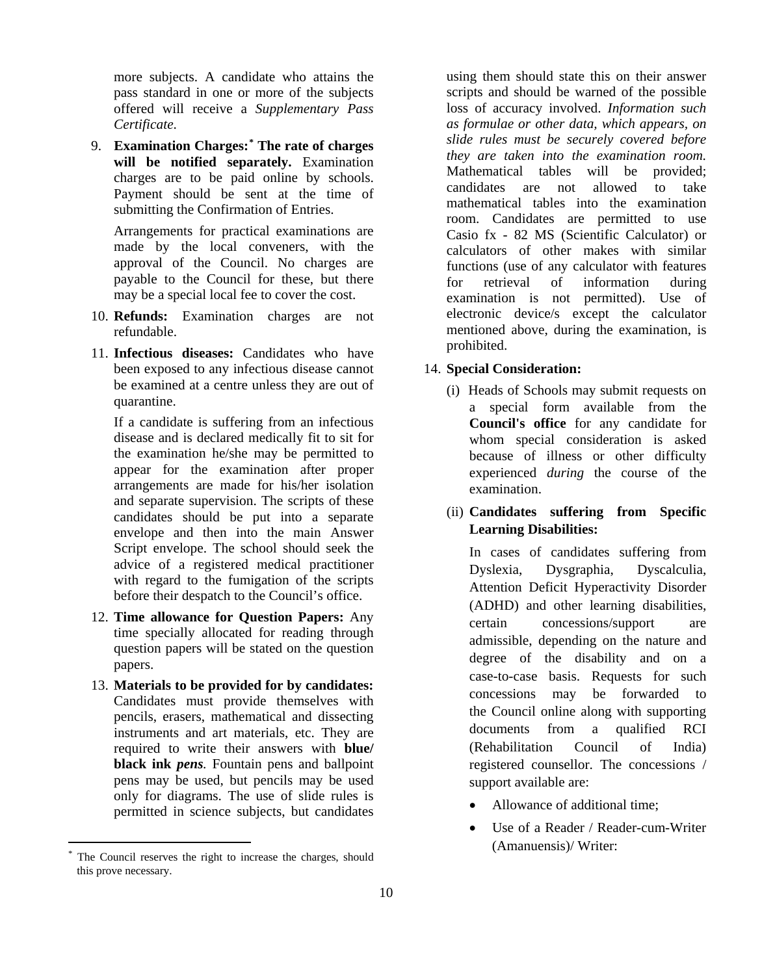more subjects. A candidate who attains the pass standard in one or more of the subjects offered will receive a *Supplementary Pass Certificate*.

9. **Examination Charges:[\\*](#page-9-0) The rate of charges will be notified separately.** Examination charges are to be paid online by schools. Payment should be sent at the time of submitting the Confirmation of Entries.

Arrangements for practical examinations are made by the local conveners, with the approval of the Council. No charges are payable to the Council for these, but there may be a special local fee to cover the cost.

- 10. **Refunds:** Examination charges are not refundable.
- 11. **Infectious diseases:** Candidates who have been exposed to any infectious disease cannot be examined at a centre unless they are out of quarantine.

If a candidate is suffering from an infectious disease and is declared medically fit to sit for the examination he/she may be permitted to appear for the examination after proper arrangements are made for his/her isolation and separate supervision. The scripts of these candidates should be put into a separate envelope and then into the main Answer Script envelope. The school should seek the advice of a registered medical practitioner with regard to the fumigation of the scripts before their despatch to the Council's office.

- 12. **Time allowance for Question Papers:** Any time specially allocated for reading through question papers will be stated on the question papers.
- 13. **Materials to be provided for by candidates:** Candidates must provide themselves with pencils, erasers, mathematical and dissecting instruments and art materials, etc. They are required to write their answers with **blue/ black ink** *pens.* Fountain pens and ballpoint pens may be used, but pencils may be used only for diagrams. The use of slide rules is permitted in science subjects, but candidates

using them should state this on their answer scripts and should be warned of the possible loss of accuracy involved. *Information such as formulae or other data, which appears, on slide rules must be securely covered before they are taken into the examination room.* Mathematical tables will be provided; candidates are not allowed to take mathematical tables into the examination room. Candidates are permitted to use Casio fx - 82 MS (Scientific Calculator) or calculators of other makes with similar functions (use of any calculator with features for retrieval of information during examination is not permitted). Use of electronic device/s except the calculator mentioned above, during the examination, is prohibited.

## 14. **Special Consideration:**

- (i) Heads of Schools may submit requests on a special form available from the **Council's office** for any candidate for whom special consideration is asked because of illness or other difficulty experienced *during* the course of the examination.
- (ii) **Candidates suffering from Specific Learning Disabilities:**

In cases of candidates suffering from Dyslexia, Dysgraphia, Dyscalculia, Attention Deficit Hyperactivity Disorder (ADHD) and other learning disabilities, certain concessions/support are admissible, depending on the nature and degree of the disability and on a case-to-case basis. Requests for such concessions may be forwarded to the Council online along with supporting documents from a qualified RCI (Rehabilitation Council of India) registered counsellor. The concessions / support available are:

- Allowance of additional time:
- Use of a Reader / Reader-cum-Writer (Amanuensis)/ Writer:

<span id="page-9-0"></span>The Council reserves the right to increase the charges, should this prove necessary.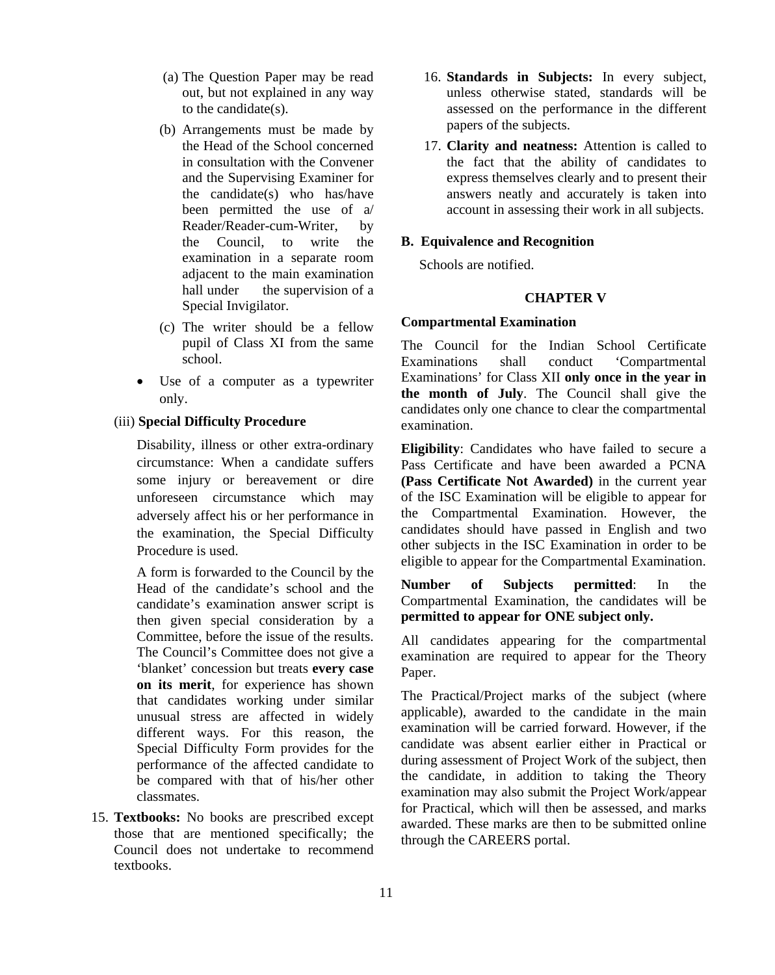- (a) The Question Paper may be read out, but not explained in any way to the candidate(s).
- (b) Arrangements must be made by the Head of the School concerned in consultation with the Convener and the Supervising Examiner for the candidate(s) who has/have been permitted the use of a/ Reader/Reader-cum-Writer, by the Council, to write the examination in a separate room adjacent to the main examination hall under the supervision of a Special Invigilator.
- (c) The writer should be a fellow pupil of Class XI from the same school.
- Use of a computer as a typewriter only.

#### (iii) **Special Difficulty Procedure**

Disability, illness or other extra-ordinary circumstance: When a candidate suffers some injury or bereavement or dire unforeseen circumstance which may adversely affect his or her performance in the examination, the Special Difficulty Procedure is used.

A form is forwarded to the Council by the Head of the candidate's school and the candidate's examination answer script is then given special consideration by a Committee, before the issue of the results. The Council's Committee does not give a 'blanket' concession but treats **every case on its merit**, for experience has shown that candidates working under similar unusual stress are affected in widely different ways. For this reason, the Special Difficulty Form provides for the performance of the affected candidate to be compared with that of his/her other classmates.

15. **Textbooks:** No books are prescribed except those that are mentioned specifically; the Council does not undertake to recommend textbooks.

- 16. **Standards in Subjects:** In every subject, unless otherwise stated, standards will be assessed on the performance in the different papers of the subjects.
- 17. **Clarity and neatness:** Attention is called to the fact that the ability of candidates to express themselves clearly and to present their answers neatly and accurately is taken into account in assessing their work in all subjects.

## **B. Equivalence and Recognition**

Schools are notified.

#### **CHAPTER V**

## **Compartmental Examination**

The Council for the Indian School Certificate Examinations shall conduct 'Compartmental Examinations' for Class XII **only once in the year in the month of July**. The Council shall give the candidates only one chance to clear the compartmental examination.

**Eligibility**: Candidates who have failed to secure a Pass Certificate and have been awarded a PCNA **(Pass Certificate Not Awarded)** in the current year of the ISC Examination will be eligible to appear for the Compartmental Examination. However, the candidates should have passed in English and two other subjects in the ISC Examination in order to be eligible to appear for the Compartmental Examination.

**Number of Subjects permitted**: In the Compartmental Examination, the candidates will be **permitted to appear for ONE subject only.** 

All candidates appearing for the compartmental examination are required to appear for the Theory Paper.

The Practical/Project marks of the subject (where applicable), awarded to the candidate in the main examination will be carried forward. However, if the candidate was absent earlier either in Practical or during assessment of Project Work of the subject, then the candidate, in addition to taking the Theory examination may also submit the Project Work/appear for Practical, which will then be assessed, and marks awarded. These marks are then to be submitted online through the CAREERS portal.